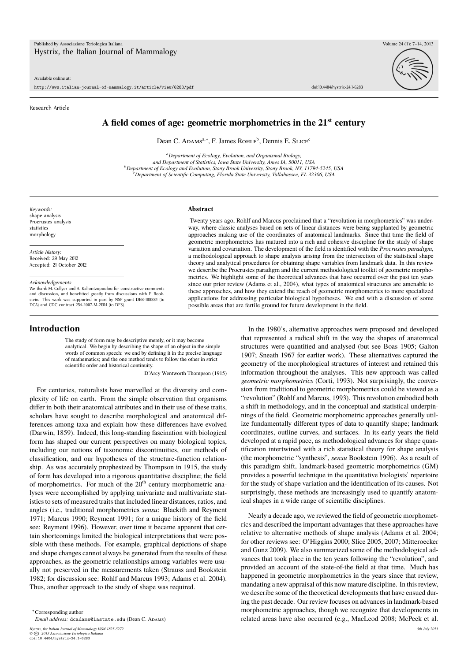Available online at:

http://www.italian-journal-of-mammalogy.it/article/view/6283/pdf doi:10.4404/hystrix-24.1-6283

#### Research Article



# **A field comes of age: geometric morphometrics in the 21st century**

Dean C. Adams<sup>a,∗</sup>, F. James Rohlf<sup>b</sup>, Dennis E. Slice<sup>c</sup>

*<sup>a</sup>Department of Ecology, Evolution, and Organismal Biology, and Department of Statistics, Iowa State University, Ames IA, 50011, USA <sup>b</sup>Department of Ecology and Evolution, Stony Brook University, Stony Brook, NY, 11794-5245, USA <sup>c</sup>Department of Scientific Computing, Florida State University, Tallahassee, FL 32306, USA*

*Keywords:* shape analysis Procrustes analysis statistics morphology

*Article history:* Received: 29 May 2012 Accepted: 21 October 2012

*Acknowledgements*

We thank M. Collyer and A. Kaliontzopoulou for constructive comments and discussion, and benefitted greatly from discussions with F. Book-stein. This work was supported in part by NSF grant DEB-1118884 (to DCA) and CDC contract 254-2007-M-21314 (to DES).

# **Introduction**

The study of form may be descriptive merely, or it may become analytical. We begin by describing the shape of an object in the simple words of common speech: we end by defining it in the precise language of mathematics; and the one method tends to follow the other in strict scientific order and historical continuity.

D'Arcy Wentworth Thompson (1915)

For centuries, naturalists have marvelled at the diversity and complexity of life on earth. From the simple observation that organisms differ in both their anatomical attributes and in their use of these traits, scholars have sought to describe morphological and anatomical differences among taxa and explain how these differences have evolved (Darwin, 1859). Indeed, this long-standing fascination with biological form has shaped our current perspectives on many biological topics, including our notions of taxonomic discontinuities, our methods of classification, and our hypotheses of the structure-function relationship. As was accurately prophesized by Thompson in 1915, the study of form has developed into a rigorous quantitative discipline; the field of morphometrics. For much of the  $20<sup>th</sup>$  century morphometric analyses were accomplished by applying univariate and multivariate statistics to sets of measured traits that included linear distances, ratios, and angles (i.e., traditional morphometrics *sensu*: Blackith and Reyment 1971; Marcus 1990; Reyment 1991; for a unique history of the field see: Reyment 1996). However, over time it became apparent that certain shortcomings limited the biological interpretations that were possible with these methods. For example, graphical depictions of shape and shape changes cannot always be generated from the results of these approaches, as the geometric relationships among variables were usually not preserved in the measurements taken (Strauss and Bookstein 1982; for discussion see: Rohlf and Marcus 1993; Adams et al. 2004). Thus, another approach to the study of shape was required.

*Email address:* dcadams@iastate.edu (Dean C. ADAMS)

*Hystrix, the Italian Journal of Mammalogy ISSN 1825-5272 5th July 2013 ©* **CC** *2013 Associazione Teriologica Italiana* doi:10.4404/hystrix-24.1-6283

#### **Abstract**

Twenty years ago, Rohlf and Marcus proclaimed that a "revolution in morphometrics" was underway, where classic analyses based on sets of linear distances were being supplanted by geometric approaches making use of the coordinates of anatomical landmarks. Since that time the field of geometric morphometrics has matured into a rich and cohesive discipline for the study of shape variation and covariation. The development of the field is identified with the *Procrustes paradigm*, a methodological approach to shape analysis arising from the intersection of the statistical shape theory and analytical procedures for obtaining shape variables from landmark data. In this review we describe the Procrustes paradigm and the current methodological toolkit of geometric morphometrics. We highlight some of the theoretical advances that have occurred over the past ten years since our prior review (Adams et al., 2004), what types of anatomical structures are amenable to these approaches, and how they extend the reach of geometric morphometrics to more specialized applications for addressing particular biological hypotheses. We end with a discussion of some possible areas that are fertile ground for future development in the field.

> In the 1980's, alternative approaches were proposed and developed that represented a radical shift in the way the shapes of anatomical structures were quantified and analysed (but see Boas 1905; Galton 1907; Sneath 1967 for earlier work). These alternatives captured the geometry of the morphological structures of interest and retained this information throughout the analyses. This new approach was called *geometric morphometrics* (Corti, 1993). Not surprisingly, the conversion from traditional to geometric morphometrics could be viewed as a "revolution" (Rohlf and Marcus, 1993). This revolution embodied both a shift in methodology, and in the conceptual and statistical underpinnings of the field. Geometric morphometric approaches generally utilize fundamentally different types of data to quantify shape; landmark coordinates, outline curves, and surfaces. In its early years the field developed at a rapid pace, as methodological advances for shape quantification intertwined with a rich statistical theory for shape analysis (the morphometric "synthesis", *sensu* Bookstein 1996). As a result of this paradigm shift, landmark-based geometric morphometrics (GM) provides a powerful technique in the quantitative biologists' repertoire for the study of shape variation and the identification of its causes. Not surprisingly, these methods are increasingly used to quantify anatomical shapes in a wide range of scientific disciplines.

> Nearly a decade ago, we reviewed the field of geometric morphometrics and described the important advantages that these approaches have relative to alternative methods of shape analysis (Adams et al. 2004; for other reviews see: O'Higgins 2000; Slice 2005, 2007; Mitteroecker and Gunz 2009). We also summarized some of the methodological advances that took place in the ten years following the "revolution", and provided an account of the state-of-the field at that time. Much has happened in geometric morphometrics in the years since that review, mandating a new appraisal of this now mature discipline. In this review, we describe some of the theoretical developments that have ensued during the past decade. Our review focuses on advances in landmark-based morphometric approaches, though we recognize that developments in related areas have also occurred (e.g., MacLeod 2008; McPeek et al.

<sup>∗</sup>Corresponding author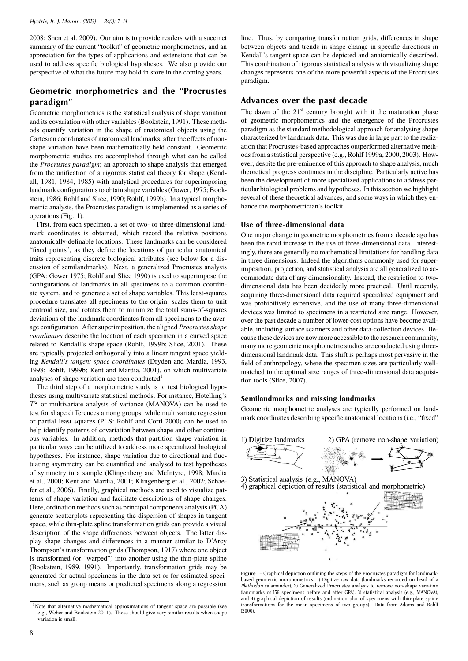2008; Shen et al. 2009). Our aim is to provide readers with a succinct summary of the current "toolkit" of geometric morphometrics, and an appreciation for the types of applications and extensions that can be used to address specific biological hypotheses. We also provide our perspective of what the future may hold in store in the coming years.

# **Geometric morphometrics and the "Procrustes paradigm"**

Geometric morphometrics is the statistical analysis of shape variation and its covariation with other variables (Bookstein, 1991). These methods quantify variation in the shape of anatomical objects using the Cartesian coordinates of anatomical landmarks, after the effects of nonshape variation have been mathematically held constant. Geometric morphometric studies are accomplished through what can be called the *Procrustes paradigm*; an approach to shape analysis that emerged from the unification of a rigorous statistical theory for shape (Kendall, 1981, 1984, 1985) with analytical procedures for superimposing landmark configurations to obtain shape variables (Gower, 1975; Bookstein, 1986; Rohlf and Slice, 1990; Rohlf, 1999b). In a typical morphometric analysis, the Procrustes paradigm is implemented as a series of operations (Fig. 1).

First, from each specimen, a set of two- or three-dimensional landmark coordinates is obtained, which record the relative positions anatomically-definable locations. These landmarks can be considered "fixed points", as they define the locations of particular anatomical traits representing discrete biological attributes (see below for a discussion of semilandmarks). Next, a generalized Procrustes analysis (GPA: Gower 1975; Rohlf and Slice 1990) is used to superimpose the configurations of landmarks in all specimens to a common coordinate system, and to generate a set of shape variables. This least-squares procedure translates all specimens to the origin, scales them to unit centroid size, and rotates them to minimize the total sums-of-squares deviations of the landmark coordinates from all specimens to the average configuration. After superimposition, the aligned *Procrustes shape coordinates* describe the location of each specimen in a curved space related to Kendall's shape space (Rohlf, 1999b; Slice, 2001). These are typically projected orthogonally into a linear tangent space yielding *Kendall's tangent space coordinates* (Dryden and Mardia, 1993, 1998; Rohlf, 1999b; Kent and Mardia, 2001), on which multivariate analyses of shape variation are then conducted<sup>1</sup>

The third step of a morphometric study is to test biological hypotheses using multivariate statistical methods. For instance, Hotelling's *T* 2 or multivariate analysis of variance (MANOVA) can be used to test for shape differences among groups, while multivariate regression or partial least squares (PLS: Rohlf and Corti 2000) can be used to help identify patterns of covariation between shape and other continuous variables. In addition, methods that partition shape variation in particular ways can be utilized to address more specialized biological hypotheses. For instance, shape variation due to directional and fluctuating asymmetry can be quantified and analysed to test hypotheses of symmetry in a sample (Klingenberg and McIntyre, 1998; Mardia et al., 2000; Kent and Mardia, 2001; Klingenberg et al., 2002; Schaefer et al., 2006). Finally, graphical methods are used to visualize patterns of shape variation and facilitate descriptions of shape changes. Here, ordination methods such as principal components analysis (PCA) generate scatterplots representing the dispersion of shapes in tangent space, while thin-plate spline transformation grids can provide a visual description of the shape differences between objects. The latter display shape changes and differences in a manner similar to D'Arcy Thompson's transformation grids (Thompson, 1917) where one object is transformed (or "warped") into another using the thin-plate spline (Bookstein, 1989, 1991). Importantly, transformation grids may be generated for actual specimens in the data set or for estimated specimens, such as group means or predicted specimens along a regression line. Thus, by comparing transformation grids, differences in shape between objects and trends in shape change in specific directions in Kendall's tangent space can be depicted and anatomically described. This combination of rigorous statistical analysis with visualizing shape changes represents one of the more powerful aspects of the Procrustes paradigm.

# **Advances over the past decade**

The dawn of the  $21<sup>st</sup>$  century brought with it the maturation phase of geometric morphometrics and the emergence of the Procrustes paradigm as the standard methodological approach for analysing shape characterized by landmark data. This was due in large part to the realization that Procrustes-based approaches outperformed alternative methods from a statistical perspective (e.g., Rohlf 1999a, 2000, 2003). However, despite the pre-eminence of this approach to shape analysis, much theoretical progress continues in the discipline. Particularly active has been the development of more specialized applications to address particular biological problems and hypotheses. In this section we highlight several of these theoretical advances, and some ways in which they enhance the morphometrician's toolkit.

# **Use of three-dimensional data**

One major change in geometric morphometrics from a decade ago has been the rapid increase in the use of three-dimensional data. Interestingly, there are generally no mathematical limitations for handling data in three dimensions. Indeed the algorithms commonly used for superimposition, projection, and statistical analysis are all generalized to accommodate data of any dimensionality. Instead, the restriction to twodimensional data has been decidedly more practical. Until recently, acquiring three-dimensional data required specialized equipment and was prohibitively expensive, and the use of many three-dimensional devices was limited to specimens in a restricted size range. However, over the past decade a number of lower-cost options have become available, including surface scanners and other data-collection devices. Because these devices are now more accessible to the research community, many more geometric morphometric studies are conducted using threedimensional landmark data. This shift is perhaps most pervasive in the field of anthropology, where the specimen sizes are particularly wellmatched to the optimal size ranges of three-dimensional data acquisition tools (Slice, 2007).

# **Semilandmarks and missing landmarks**

Geometric morphometric analyses are typically performed on landmark coordinates describing specific anatomical locations (i.e., "fixed"



**Figure 1** – Graphical depiction outlining the steps of the Procrustes paradigm for landmarkbased geometric morphometrics. 1) Digitize raw data (landmarks recorded on head of a *Plethodon* salamander), 2) Generalized Procrustes analysis to remove non-shape variation (landmarks of 156 specimens before and after GPA), 3) statistical analysis (e.g., MANOVA), and 4) graphical depiction of results (ordination plot of specimens with thin-plate spline transformations for the mean specimens of two groups). Data from Adams and Rohlf (2000).

<sup>&</sup>lt;sup>1</sup>Note that alternative mathematical approximations of tangent space are possible (see e.g., Weber and Bookstein 2011). These should give very similar results when shape variation is small.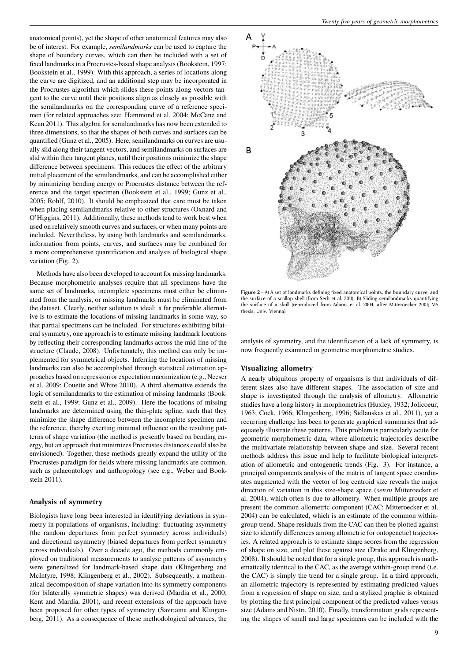anatomical points), yet the shape of other anatomical features may also be of interest. For example, *semilandmarks* can be used to capture the shape of boundary curves, which can then be included with a set of fixed landmarks in a Procrustes-based shape analysis (Bookstein, 1997; Bookstein et al., 1999). With this approach, a series of locations along the curve are digitized, and an additional step may be incorporated in the Procrustes algorithm which slides these points along vectors tangent to the curve until their positions align as closely as possible with the semilandmarks on the corresponding curve of a reference specimen (for related approaches see: Hammond et al. 2004; McCane and Kean 2011). This algebra for semilandmarks has now been extended to three dimensions, so that the shapes of both curves and surfaces can be quantified (Gunz et al., 2005). Here, semilandmarks on curves are usually slid along their tangent vectors, and semilandmarks on surfaces are slid within their tangent planes, until their positions minimize the shape difference between specimens. This reduces the effect of the arbitrary initial placement of the semilandmarks, and can be accomplished either by minimizing bending energy or Procrustes distance between the reference and the target specimen (Bookstein et al., 1999; Gunz et al., 2005; Rohlf, 2010). It should be emphasized that care must be taken when placing semilandmarks relative to other structures (Oxnard and O'Higgins, 2011). Additionally, these methods tend to work best when used on relatively smooth curves and surfaces, or when many points are included. Nevertheless, by using both landmarks and semilandmarks, information from points, curves, and surfaces may be combined for a more comprehensive quantification and analysis of biological shape variation (Fig. 2).

Methods have also been developed to account for missing landmarks. Because morphometric analyses require that all specimens have the same set of landmarks, incomplete specimens must either be eliminated from the analysis, or missing landmarks must be eliminated from the dataset. Clearly, neither solution is ideal: a far preferable alternative is to estimate the locations of missing landmarks in some way, so that partial specimens can be included. For structures exhibiting bilateral symmetry, one approach is to estimate missing landmark locations by reflecting their corresponding landmarks across the mid-line of the structure (Claude, 2008). Unfortunately, this method can only be implemented for symmetrical objects. Inferring the locations of missing landmarks can also be accomplished through statistical estimation approaches based on regression or expectation maximization (e.g., Neeser et al. 2009; Couette and White 2010). A third alternative extends the logic of semilandmarks to the estimation of missing landmarks (Bookstein et al., 1999; Gunz et al., 2009). Here the locations of missing landmarks are determined using the thin-plate spline, such that they minimize the shape difference between the incomplete specimen and the reference, thereby exerting minimal influence on the resulting patterns of shape variation (the method is presently based on bending energy, but an approach that minimizes Procrustes distances could also be envisioned). Together, these methods greatly expand the utility of the Procrustes paradigm for fields where missing landmarks are common, such as palaeontology and anthropology (see e.g., Weber and Bookstein 2011).

### **Analysis of symmetry**

Biologists have long been interested in identifying deviations in symmetry in populations of organisms, including: fluctuating asymmetry (the random departures from perfect symmetry across individuals) and directional asymmetry (biased departures from perfect symmetry across individuals). Over a decade ago, the methods commonly employed on traditional measurements to analyse patterns of asymmetry were generalized for landmark-based shape data (Klingenberg and McIntyre, 1998; Klingenberg et al., 2002). Subsequently, a mathematical decomposition of shape variation into its symmetry components (for bilaterally symmetric shapes) was derived (Mardia et al., 2000; Kent and Mardia, 2001), and recent extensions of the approach have been proposed for other types of symmetry (Savriama and Klingenberg, 2011). As a consequence of these methodological advances, the



**Figure 2** – A) A set of landmarks defining fixed anatomical points, the boundary curve, and the surface of a scallop shell (from Serb et al. 2011). B) Sliding semilandmarks quantifying the surface of a skull (reproduced from Adams et al. 2004; after Mitteroecker 2001; MS thesis, Univ. Vienna).

analysis of symmetry, and the identification of a lack of symmetry, is now frequently examined in geometric morphometric studies.

### **Visualizing allometry**

A nearly ubiquitous property of organisms is that individuals of different sizes also have different shapes. The association of size and shape is investigated through the analysis of allometry. Allometric studies have a long history in morphometrics (Huxley, 1932; Jolicoeur, 1963; Cock, 1966; Klingenberg, 1996; Sidlauskas et al., 2011), yet a recurring challenge has been to generate graphical summaries that adequately illustrate these patterns. This problem is particularly acute for geometric morphometric data, where allometric trajectories describe the multivariate relationship between shape and size. Several recent methods address this issue and help to facilitate biological interpretation of allometric and ontogenetic trends (Fig. 3). For instance, a principal components analysis of the matrix of tangent space coordinates augmented with the vector of log centroid size reveals the major direction of variation in this size-shape space (*sensu* Mitteroecker et al. 2004), which often is due to allometry. When multiple groups are present the common allometric component (CAC: Mitteroecker et al. 2004) can be calculated, which is an estimate of the common withingroup trend. Shape residuals from the CAC can then be plotted against size to identify differences among allometric (or ontogenetic) trajectories. A related approach is to estimate shape scores from the regression of shape on size, and plot these against size (Drake and Klingenberg, 2008). It should be noted that for a single group, this approach is mathematically identical to the CAC, as the average within-group trend (i.e. the CAC) is simply the trend for a single group. In a third approach, an allometric trajectory is represented by estimating predicted values from a regression of shape on size, and a stylized graphic is obtained by plotting the first principal component of the predicted values versus size (Adams and Nistri, 2010). Finally, transformation grids representing the shapes of small and large specimens can be included with the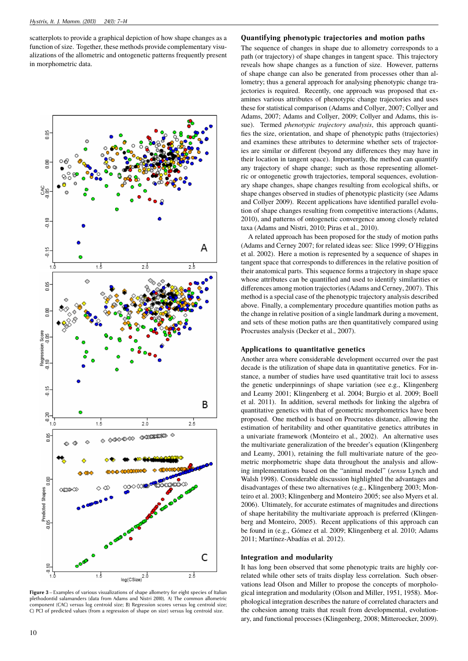scatterplots to provide a graphical depiction of how shape changes as a function of size. Together, these methods provide complementary visualizations of the allometric and ontogenetic patterns frequently present in morphometric data.



**Figure 3** – Examples of various visualizations of shape allometry for eight species of Italian plethodontid salamanders (data from Adams and Nistri 2010). A) The common allometric component (CAC) versus log centroid size; B) Regression scores versus log centroid size; C) PC1 of predicted values (from a regression of shape on size) versus log centroid size.

### **Quantifying phenotypic trajectories and motion paths**

The sequence of changes in shape due to allometry corresponds to a path (or trajectory) of shape changes in tangent space. This trajectory reveals how shape changes as a function of size. However, patterns of shape change can also be generated from processes other than allometry; thus a general approach for analysing phenotypic change trajectories is required. Recently, one approach was proposed that examines various attributes of phenotypic change trajectories and uses these for statistical comparison (Adams and Collyer, 2007; Collyer and Adams, 2007; Adams and Collyer, 2009; Collyer and Adams, this issue). Termed *phenotypic trajectory analysis*, this approach quantifies the size, orientation, and shape of phenotypic paths (trajectories) and examines these attributes to determine whether sets of trajectories are similar or different (beyond any differences they may have in their location in tangent space). Importantly, the method can quantify any trajectory of shape change; such as those representing allometric or ontogenetic growth trajectories, temporal sequences, evolutionary shape changes, shape changes resulting from ecological shifts, or shape changes observed in studies of phenotypic plasticity (see Adams and Collyer 2009). Recent applications have identified parallel evolution of shape changes resulting from competitive interactions (Adams, 2010), and patterns of ontogenetic convergence among closely related taxa (Adams and Nistri, 2010; Piras et al., 2010).

A related approach has been proposed for the study of motion paths (Adams and Cerney 2007; for related ideas see: Slice 1999; O'Higgins et al. 2002). Here a motion is represented by a sequence of shapes in tangent space that corresponds to differences in the relative position of their anatomical parts. This sequence forms a trajectory in shape space whose attributes can be quantified and used to identify similarities or differences among motion trajectories (Adams and Cerney, 2007). This method is a special case of the phenotypic trajectory analysis described above. Finally, a complementary procedure quantifies motion paths as the change in relative position of a single landmark during a movement, and sets of these motion paths are then quantitatively compared using Procrustes analysis (Decker et al., 2007).

#### **Applications to quantitative genetics**

Another area where considerable development occurred over the past decade is the utilization of shape data in quantitative genetics. For instance, a number of studies have used quantitative trait loci to assess the genetic underpinnings of shape variation (see e.g., Klingenberg and Leamy 2001; Klingenberg et al. 2004; Burgio et al. 2009; Boell et al. 2011). In addition, several methods for linking the algebra of quantitative genetics with that of geometric morphometrics have been proposed. One method is based on Procrustes distance, allowing the estimation of heritability and other quantitative genetics attributes in a univariate framework (Monteiro et al., 2002). An alternative uses the multivariate generalization of the breeder's equation (Klingenberg and Leamy, 2001), retaining the full multivariate nature of the geometric morphometric shape data throughout the analysis and allowing implementations based on the "animal model" (*sensu* Lynch and Walsh 1998). Considerable discussion highlighted the advantages and disadvantages of these two alternatives (e.g., Klingenberg 2003; Monteiro et al. 2003; Klingenberg and Monteiro 2005; see also Myers et al. 2006). Ultimately, for accurate estimates of magnitudes and directions of shape heritability the multivariate approach is preferred (Klingenberg and Monteiro, 2005). Recent applications of this approach can be found in (e.g., Gómez et al. 2009; Klingenberg et al. 2010; Adams 2011; Martínez-Abadías et al. 2012).

#### **Integration and modularity**

It has long been observed that some phenotypic traits are highly correlated while other sets of traits display less correlation. Such observations lead Olson and Miller to propose the concepts of morphological integration and modularity (Olson and Miller, 1951, 1958). Morphological integration describes the nature of correlated characters and the cohesion among traits that result from developmental, evolutionary, and functional processes (Klingenberg, 2008; Mitteroecker, 2009).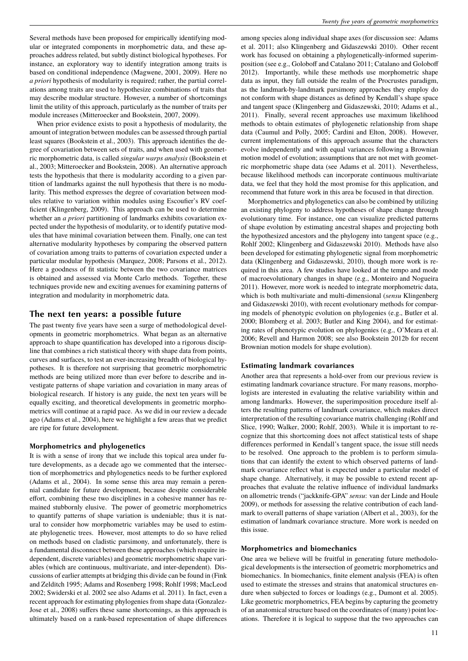Several methods have been proposed for empirically identifying modular or integrated components in morphometric data, and these approaches address related, but subtly distinct biological hypotheses. For instance, an exploratory way to identify integration among traits is based on conditional independence (Magwene, 2001, 2009). Here no *a priori* hypothesis of modularity is required; rather, the partial correlations among traits are used to hypothesize combinations of traits that may describe modular structure. However, a number of shortcomings limit the utility of this approach, particularly as the number of traits per module increases (Mitteroecker and Bookstein, 2007, 2009).

When prior evidence exists to posit a hypothesis of modularity, the amount of integration between modules can be assessed through partial least squares (Bookstein et al., 2003). This approach identifies the degree of covariation between sets of traits, and when used with geometric morphometric data, is called *singular warps analysis* (Bookstein et al., 2003; Mitteroecker and Bookstein, 2008). An alternative approach tests the hypothesis that there is modularity according to a given partition of landmarks against the null hypothesis that there is no modularity. This method expresses the degree of covariation between modules relative to variation within modules using Escoufier's RV coefficient (Klingenberg, 2009). This approach can be used to determine whether an *a priori* partitioning of landmarks exhibits covariation expected under the hypothesis of modularity, or to identify putative modules that have minimal covariation between them. Finally, one can test alternative modularity hypotheses by comparing the observed pattern of covariation among traits to patterns of covariation expected under a particular modular hypothesis (Marquez, 2008; Parsons et al., 2012). Here a goodness of fit statistic between the two covariance matrices is obtained and assessed via Monte Carlo methods. Together, these techniques provide new and exciting avenues for examining patterns of integration and modularity in morphometric data.

# **The next ten years: a possible future**

The past twenty five years have seen a surge of methodological developments in geometric morphometrics. What began as an alternative approach to shape quantification has developed into a rigorous discipline that combines a rich statistical theory with shape data from points, curves and surfaces, to test an ever-increasing breadth of biological hypotheses. It is therefore not surprising that geometric morphometric methods are being utilized more than ever before to describe and investigate patterns of shape variation and covariation in many areas of biological research. If history is any guide, the next ten years will be equally exciting, and theoretical developments in geometric morphometrics will continue at a rapid pace. As we did in our review a decade ago (Adams et al., 2004), here we highlight a few areas that we predict are ripe for future development.

#### **Morphometrics and phylogenetics**

It is with a sense of irony that we include this topical area under future developments, as a decade ago we commented that the intersection of morphometrics and phylogenetics needs to be further explored (Adams et al., 2004). In some sense this area may remain a perennial candidate for future development, because despite considerable effort, combining these two disciplines in a cohesive manner has remained stubbornly elusive. The power of geometric morphometrics to quantify patterns of shape variation is undeniable; thus it is natural to consider how morphometric variables may be used to estimate phylogenetic trees. However, most attempts to do so have relied on methods based on cladistic parsimony, and unfortunately, there is a fundamental disconnect between these approaches (which require independent, discrete variables) and geometric morphometric shape variables (which are continuous, multivariate, and inter-dependent). Discussions of earlier attempts at bridging this divide can be found in (Fink and Zelditch 1995; Adams and Rosenberg 1998; Rohlf 1998; MacLeod 2002; Swiderski et al. 2002 see also Adams et al. 2011). In fact, even a recent approach for estimating phylogenies from shape data (Gonzalez-Jose et al., 2008) suffers these same shortcomings, as this approach is ultimately based on a rank-based representation of shape differences

among species along individual shape axes (for discussion see: Adams et al. 2011; also Klingenberg and Gidaszewski 2010). Other recent work has focused on obtaining a phylogenetically-informed superimposition (see e.g., Goloboff and Catalano 2011; Catalano and Goloboff 2012). Importantly, while these methods use morphometric shape data as input, they fall outside the realm of the Procrustes paradigm, as the landmark-by-landmark parsimony approaches they employ do not conform with shape distances as defined by Kendall's shape space and tangent space (Klingenberg and Gidaszewski, 2010; Adams et al., 2011). Finally, several recent approaches use maximum likelihood methods to obtain estimates of phylogenetic relationship from shape data (Caumul and Polly, 2005; Cardini and Elton, 2008). However, current implementations of this approach assume that the characters evolve independently and with equal variances following a Brownian motion model of evolution; assumptions that are not met with geometric morphometric shape data (see Adams et al. 2011). Nevertheless, because likelihood methods can incorporate continuous multivariate data, we feel that they hold the most promise for this application, and recommend that future work in this area be focused in that direction.

Morphometrics and phylogenetics can also be combined by utilizing an existing phylogeny to address hypotheses of shape change through evolutionary time. For instance, one can visualize predicted patterns of shape evolution by estimating ancestral shapes and projecting both the hypothesized ancestors and the phylogeny into tangent space (e.g., Rohlf 2002; Klingenberg and Gidaszewski 2010). Methods have also been developed for estimating phylogenetic signal from morphometric data (Klingenberg and Gidaszewski, 2010), though more work is required in this area. A few studies have looked at the tempo and mode of macroevolutionary changes in shape (e.g., Monteiro and Nogueira 2011). However, more work is needed to integrate morphometric data, which is both multivariate and multi-dimensional (*sensu* Klingenberg and Gidaszewski 2010), with recent evolutionary methods for comparing models of phenotypic evolution on phylogenies (e.g., Butler et al. 2000; Blomberg et al. 2003; Butler and King 2004), and for estimating rates of phenotypic evolution on phylogenies (e.g., O'Meara et al. 2006; Revell and Harmon 2008; see also Bookstein 2012b for recent Brownian motion models for shape evolution).

#### **Estimating landmark covariances**

Another area that represents a hold-over from our previous review is estimating landmark covariance structure. For many reasons, morphologists are interested in evaluating the relative variability within and among landmarks. However, the superimposition procedure itself alters the resulting patterns of landmark covariance, which makes direct interpretation of the resulting covariance matrix challenging (Rohlf and Slice, 1990; Walker, 2000; Rohlf, 2003). While it is important to recognize that this shortcoming does not affect statistical tests of shape differences performed in Kendall's tangent space, the issue still needs to be resolved. One approach to the problem is to perform simulations that can identify the extent to which observed patterns of landmark covariance reflect what is expected under a particular model of shape change. Alternatively, it may be possible to extend recent approaches that evaluate the relative influence of individual landmarks on allometric trends ("jackknife-GPA" *sensu*: van der Linde and Houle 2009), or methods for assessing the relative contribution of each landmark to overall patterns of shape variation (Albert et al., 2003), for the estimation of landmark covariance structure. More work is needed on this issue.

#### **Morphometrics and biomechanics**

One area we believe will be fruitful in generating future methodological developments is the intersection of geometric morphometrics and biomechanics. In biomechanics, finite element analysis (FEA) is often used to estimate the stresses and strains that anatomical structures endure when subjected to forces or loadings (e.g., Dumont et al. 2005). Like geometric morphometrics, FEA begins by capturing the geometry of an anatomical structure based on the coordinates of (many) point locations. Therefore it is logical to suppose that the two approaches can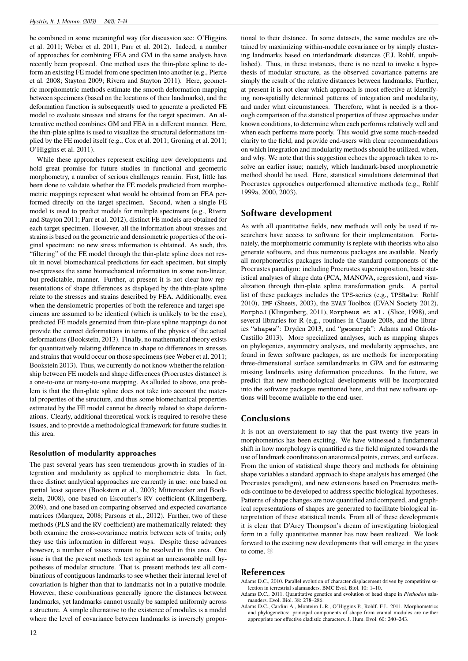be combined in some meaningful way (for discussion see: O'Higgins et al. 2011; Weber et al. 2011; Parr et al. 2012). Indeed, a number of approaches for combining FEA and GM in the same analysis have recently been proposed. One method uses the thin-plate spline to deform an existing FE model from one specimen into another (e.g., Pierce et al. 2008; Stayton 2009; Rivera and Stayton 2011). Here, geometric morphometric methods estimate the smooth deformation mapping between specimens (based on the locations of their landmarks), and the deformation function is subsequently used to generate a predicted FE model to evaluate stresses and strains for the target specimen. An alternative method combines GM and FEA in a different manner. Here, the thin-plate spline is used to visualize the structural deformations implied by the FE model itself (e.g., Cox et al. 2011; Groning et al. 2011; O'Higgins et al. 2011).

While these approaches represent exciting new developments and hold great promise for future studies in functional and geometric morphometry, a number of serious challenges remain. First, little has been done to validate whether the FE models predicted from morphometric mappings represent what would be obtained from an FEA performed directly on the target specimen. Second, when a single FE model is used to predict models for multiple specimens (e.g., Rivera and Stayton 2011; Parr et al. 2012), distinct FE models are obtained for each target specimen. However, all the information about stresses and strains is based on the geometric and densiometric properties of the original specimen: no new stress information is obtained. As such, this "filtering" of the FE model through the thin-plate spline does not result in novel biomechanical predictions for each specimen, but simply re-expresses the same biomechanical information in some non-linear, but predictable, manner. Further, at present it is not clear how representations of shape differences as displayed by the thin-plate spline relate to the stresses and strains described by FEA. Additionally, even when the densiometric properties of both the reference and target specimens are assumed to be identical (which is unlikely to be the case), predicted FE models generated from thin-plate spline mappings do not provide the correct deformations in terms of the physics of the actual deformations (Bookstein, 2013). Finally, no mathematical theory exists for quantitatively relating difference in shape to differences in stresses and strains that would occur on those specimens (see Weber et al. 2011; Bookstein 2013). Thus, we currently do not know whether the relationship between FE models and shape differences (Procrustes distance) is a one-to-one or many-to-one mapping. As alluded to above, one problem is that the thin-plate spline does not take into account the material properties of the structure, and thus some biomechanical properties estimated by the FE model cannot be directly related to shape deformations. Clearly, additional theoretical work is required to resolve these issues, and to provide a methodological framework for future studies in this area.

#### **Resolution of modularity approaches**

The past several years has seen tremendous growth in studies of integration and modularity as applied to morphometric data. In fact, three distinct analytical approaches are currently in use: one based on partial least squares (Bookstein et al., 2003; Mitteroecker and Bookstein, 2008), one based on Escoufier's RV coefficient (Klingenberg, 2009), and one based on comparing observed and expected covariance matrices (Marquez, 2008; Parsons et al., 2012). Further, two of these methods (PLS and the RV coefficient) are mathematically related: they both examine the cross-covariance matrix between sets of traits; only they use this information in different ways. Despite these advances however, a number of issues remain to be resolved in this area. One issue is that the present methods test against an unreasonable null hypotheses of modular structure. That is, present methods test all combinations of contiguous landmarks to see whether their internal level of covariation is higher than that to landmarks not in a putative module. However, these combinations generally ignore the distances between landmarks, yet landmarks cannot usually be sampled uniformly across a structure. A simple alternative to the existence of modules is a model where the level of covariance between landmarks is inversely proportional to their distance. In some datasets, the same modules are obtained by maximizing within-module covariance or by simply clustering landmarks based on interlandmark distances (F.J. Rohlf, unpublished). Thus, in these instances, there is no need to invoke a hypothesis of modular structure, as the observed covariance patterns are simply the result of the relative distances between landmarks. Further, at present it is not clear which approach is most effective at identifying non-spatially determined patterns of integration and modularity, and under what circumstances. Therefore, what is needed is a thorough comparison of the statistical properties of these approaches under known conditions, to determine when each performs relatively well and when each performs more poorly. This would give some much-needed clarity to the field, and provide end-users with clear recommendations on which integration and modularity methods should be utilized, when, and why. We note that this suggestion echoes the approach taken to resolve an earlier issue; namely, which landmark-based morphometric method should be used. Here, statistical simulations determined that Procrustes approaches outperformed alternative methods (e.g., Rohlf 1999a, 2000, 2003).

# **Software development**

As with all quantitative fields, new methods will only be used if researchers have access to software for their implementation. Fortunately, the morphometric community is replete with theorists who also generate software, and thus numerous packages are available. Nearly all morphometrics packages include the standard components of the Procrustes paradigm: including Procrustes superimposition, basic statistical analyses of shape data (PCA, MANOVA, regression), and visualization through thin-plate spline transformation grids. A partial list of these packages includes the TPS-series (e.g., TPSRelw: Rohlf 2010), IMP (Sheets, 2003), the EVAN Toolbox (EVAN Society 2012), MorphoJ (Klingenberg, 2011), Morpheus et al. (Slice, 1998), and several libraries for R (e.g., routines in Claude 2008, and the libraries "shapes": Dryden 2013, and "geomorph": Adams amd Otárola-Castillo 2013). More specialized analyses, such as mapping shapes on phylogenies, asymmetry analyses, and modularity approaches, are found in fewer software packages, as are methods for incorporating three-dimensional surface semilandmarks in GPA and for estimating missing landmarks using deformation procedures. In the future, we predict that new methodological developments will be incorporated into the software packages mentioned here, and that new software options will become available to the end-user.

# **Conclusions**

It is not an overstatement to say that the past twenty five years in morphometrics has been exciting. We have witnessed a fundamental shift in how morphology is quantified as the field migrated towards the use of landmark coordinates on anatomical points, curves, and surfaces. From the union of statistical shape theory and methods for obtaining shape variables a standard approach to shape analysis has emerged (the Procrustes paradigm), and new extensions based on Procrustes methods continue to be developed to address specific biological hypotheses. Patterns of shape changes are now quantified and compared, and graphical representations of shapes are generated to facilitate biological interpretation of these statistical trends. From all of these developments it is clear that D'Arcy Thompson's dream of investigating biological form in a fully quantitative manner has now been realized. We look forward to the exciting new developments that will emerge in the years to come.

# **References**

- Adams D.C., 2010. Parallel evolution of character displacement driven by competitive selection in terrestrial salamanders. BMC Evol. Biol. 10: 1–10.
- Adams D.C., 2011. Quantitative genetics and evolution of head shape in *Plethodon* salamanders. Evol. Biol. 38: 278–286.
- Adams D.C., Cardini A., Monteiro L.R., O'Higgins P., Rohlf. F.J., 2011. Morphometrics and phylogenetics: principal components of shape from cranial modules are neither appropriate nor effective cladistic characters. J. Hum. Evol. 60: 240–243.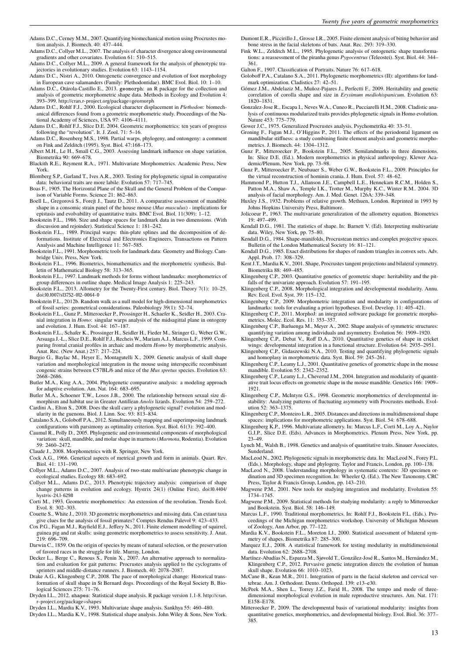- Adams D.C., Cerney M.M., 2007. Quantifying biomechanical motion using Procrustes motion analysis. J. Biomech. 40: 437–444.
- Adams D.C., Collyer M.L., 2007. The analysis of character divergence along environmental gradients and other covariates. Evolution 61: 510–515.

Adams D.C., Collyer M.L., 2009. A general framework for the analysis of phenotypic trajectories in evolutionary studies. Evolution 63: 1143–1154.

- Adams D.C., Nistri A., 2010. Ontogenetic convergence and evolution of foot morphology in European cave salamanders (Family: Plethodontidae). BMC Evol. Biol. 10: 1–10.
- Adams D.C., Otárola-Castillo E., 2013. geomorph: an R package for the collection and analysis of geometric morphometric shape data. Methods in Ecology and Evolution 4: 393–399. http://cran.r-project.org/package=geomorph
- Adams D.C., Rohlf F.J., 2000. Ecological character displacement in *Plethodon*: biomechanical differences found from a geometric morphometric study. Proceedings of the National Academy of Sciences, USA 97: 4106–4111.
- Adams D.C., Rohlf F.J., Slice D.E. 2004. Geometric morphometrics: ten years of progress following the "revolution". It. J. Zool. 71: 5–16.
- Adams D.C., Rosenberg M.S., 1998. Partial warps, phylogeny, and ontongeny: a comment on Fink and Zelditch (1995). Syst. Biol. 47:168–173.
- Albert M.H., Le H., Small C.G., 2003. Assessing landmark influence on shape variation. Biometrika 90: 669–678.
- Blackith R.E., Reyment R.A., 1971. Multivariate Morphometrics. Academic Press, New York.
- Blomberg S.P., Garland T., Ives A.R., 2003. Testing for phylogenetic signal in comparative data: behavioral traits are more labile. Evolution 57: 717–745.
- Boas F., 1905. The Horizontal Plane of the Skull and the General Problem of the Comparison of Variable Forms. Science 21: 862–863.
- Boell L., Gregorová S., Forejt J., Tautz D., 2011. A comparative assessment of mandible shape in a consomic strain panel of the house mouse (*Mus musculus*) - implications for epistasis and evolvability of quantitative traits. BMC Evol. Biol. 11(309): 1–12.
- Bookstein F.L., 1986. Size and shape spaces for landmark data in two dimensions. (With discussion and rejoinder). Statistical Science 1: 181–242.
- Bookstein F.L., 1989. Principal warps: thin-plate splines and the decomposition of deformations. Institute of Electrical and Electronics Engineers, Transactions on Pattern Analysis and Machine Intelligence 11: 567–585.
- Bookstein F.L., 1991. Morphometric tools for landmark data: Geometry and Biology. Cambridge Univ. Press, New York.
- Bookstein F.L., 1996. Biometrics, biomathematics and the morphometric synthesis. Bulletin of Mathematical Biology 58: 313–365.
- Bookstein F.L., 1997. Landmark methods for forms without landmarks: morphometrics of group differences in outline shape. Medical Image Analysis 1: 225–243.
- Bookstein F.L., 2013. Allometry for the Twenty-First century. Biol. Theory 7(1): 10–25. doi:10.1007/s13752-012-0064-0
- Bookstein F.L., 2012b. Random walk as a null model for high-dimensional morphometrics of fossil series: geometrical considerations. Paleobiology 39(1): 52–74.
- Bookstein F.L., Gunz P., Mitteroecker P., Prossinger H., Schaefer K., Seidler H., 2003. Cranial integration in *Homo*: singular warps analysis of the midsagittal plane in ontogeny and evolution. J. Hum. Evol. 44: 167–187.
- Bookstein F.L., Schafer K., Prossinger H., Seidler H., Fieder M., Stringer G., Weber G.W., Arsuaga J.-L., Slice D.E., Rohlf F.J., Recheis W., Mariam A.J., Marcus L.F., 1999. Comparing frontal cranial profiles in archaic and modern *Homo* by morphometric analysis. Anat. Rec. (New Anat.) 257: 217–224.
- Burgio G., Baylac M., Heyer E., Montagutelli X., 2009. Genetic analysis of skull shape variation and morphological integration in the mouse using interspecific recombinant congenic strains between C57BL/6 and mice of the *Mus spretus* species. Evolution 63: 2668–2686.
- Butler M.A., King A.A., 2004. Phylogenetic comparative analysis: a modeling approach for adaptive evolution. Am. Nat. 164: 683–695.
- Butler M.A., Schoener T.W., Losos J.B., 2000. The relationship between sexual size dimorphism and habitat use in Greater Antillean *Anolis* lizards. Evolution 54: 259–272.
- Cardini A., Elton S., 2008. Does the skull carry a phylogenetic signal? evolution and modularity in the guenons. Biol. J. Linn. Soc. 93: 813–834.
- Catalano S.A., Goloboff P.A., 2012. Simultaneously mapping and superimposing landmark configurations with parsimony as optimality criterion. Syst. Biol. 61(3): 392–400. Caumul R., Polly D., 2005. Phylogenetic and environmental components of morphological
- variation: skull, mandible, and molar shape in marmots (*Marmota*, Rodentia). Evolution 59: 2460–2472.
- Claude J., 2008. Morphometrics with R. Springer, New York.
- Cock A.G., 1966. Genetical aspects of metrical growth and form in animals. Quart. Rev. Biol. 41: 131–190.
- Collyer M.L., Adams D.C., 2007. Analysis of two-state multivariate phenotypic change in ecological studies. Ecology 88: 683–692.
- Collyer M.L., Adams D.C., 2013. Phenotypic trajectory analysis: comparison of shape change patterns in evolution and ecology. Hystrix 24(1) (Online First). doi:10.4404/ hystrix-24.1-6298
- Corti M., 1993. Geometric morphometrics: An extension of the revolution. Trends Ecol. Evol. 8: 302–303.
- Couette S., White J., 2010. 3D geometric morphometrics and missing data. Can extant taxa give clues for the analysis of fossil primates? Comptes Rendus Palevol 9: 423–433.
- Cox P.G., Fagan M.J., Rayfield E.J., Jeffery N., 2011. Finite element modelling of squirrel, guinea pig and rat skulls: using geometric morphometrics to assess sensitivity. J. Anat. 219: 696–709.
- Darwin C., 1859. On the origin of species by means of natural selection, or the preservation of favored races in the struggle for life. Murray, London. Decker L., Berge C., Renous S., Penin X., 2007. An alternative approach to normaliza-
- tion and evaluation for gait patterns: Procrustes analysis applied to the cyclograms of sprinters and middle-distance runners. J. Biomech. 40: 2078–2087.
- Drake A.G., Klingenberg C.P., 2008. The pace of morphological change: Historical transformation of skull shape in St Bernard dogs. Proceedings of the Royal Society B, Biological Sciences 275: 71–76.
- Dryden I.L., 2012. shapes: Statistical shape analysis. R package version 1.1-8. http://cran. r-project.org/package=shapes
- Dryden I.L., Mardia K.V., 1993. Multivariate shape analysis. Sankhya 55: 460–480.
- Dryden I.L., Mardia K.V., 1998. Statistical shape analysis. John Wiley & Sons, New York.
- Dumont E.R., Piccirillo J., Grosse I.R., 2005. Finite element analysis of biting behavior and bone stress in the facial skeletons of bats. Anat. Rec. 293: 319–330.
- Fink W.L., Zelditch M.L., 1995. Phylogenetic analysis of ontogenetic shape transformations: a reassessment of the piranha genus *Pygocentrus* (Teleostei). Syst. Biol. 44: 344– 361.
- Galton F., 1907. Classification of Portraits. Nature 76: 617–618.
- Goloboff P.A., Catalano S.A., 2011. Phylogenetic morphometrics (II): algorithms for landmark optimization. Cladistics 27:  $42 - 51$ .
- Gómez J.M., Abdelaziz M., Muñoz-Pajares J., Perfectti F., 2009. Heritability and genetic correlation of corolla shape and size in *Erysimum mediohispanicum*. Evolution 63: 1820–1831.
- Gonzalez-Jose R., Escapa I., Neves W.A., Cuneo R., Pucciarelli H.M., 2008. Cladistic analysis of continuous modularized traits provides phylogenetic signals in Homo evolution. Nature 453: 775–779.
- Gower J.C., 1975. Generalized Procrustes analysis. Psychometrika 40: 33–51.
- Groning F., Fagan M.J., O'Higgins P., 2011. The effects of the periodontal ligament on mandibular stiffness: a study combining finite element analysis and geometric morphometrics. J. Biomech. 44: 1304–1312.
- Gunz P., Mitteroecker P., Bookstein F.L., 2005. Semilandmarks in three dimensions. In: Slice D.E. (Ed.). Modern morphometrics in physical anthropology. Klewer Academic/Plenum, New York, pp. 73–98.
- Gunz P., Mitteroecker P., Neubauer S., Weber G.W., Bookstein F.L., 2009. Principles for the virtual reconstruction of hominin crania. J. Hum. Evol. 57: 48–62.
- Hammond P., Hutton T.J., Allanson J.E., Campbell L.E., Hennekam R.C.M., Holden S., Patton M.A., Shaw A., Temple I.K., Trotter M., Murphy K.C., Winter R.M.. 2004. 3D analysis of facial morphology. Am. J. Med. Genet. 126A: 339–348.
- Huxley J.S., 1932. Problems of relative growth. Methuen, London. Reprinted in 1993 by Johns Hopkins University Press, Baltimore.
- Jolicoeur P., 1963. The multivariate generalization of the allometry equation. Biometrics 19: 497–499.
- Kendall D.G., 1981. The statistics of shape. In: Barnett V. (Ed). Interpreting multivariate data. Wiley, New York, pp. 75–80.
- Kendall D.G., 1984. Shape-manifolds, Procrustean metrics and complex projective spaces. Bulletin of the London Mathematical Society 16: 81–121.
- Kendall D.G., 1985. Exact distributions for shapes of random triangles in convex sets. Adv. Appl. Prob. 17: 308–329.
- Kent J.T., Mardia K.V., 2001. Shape, Procrustes tangent projections and bilateral symmetry. Biometrika 88: 469–485.
- Klingenberg C.P., 2003. Quantitative genetics of geometric shape: heritability and the pitfalls of the univariate approach. Evolution 57: 191-195.
- Klingenberg C.P., 2008. Morphological integration and developmental modularity. Annu. Rev. Ecol. Evol. Syst. 39: 115–132.
- Klingenberg C.P., 2009. Morphometric integration and modularity in configurations of landmarks: tools for evaluating a priori hypotheses. Evol. Develop. 11: 405–421.
- Klingenberg C.P., 2011. MorphoJ: an integrated software package for geometric morphometrics. Molec. Ecol. Res. 11: 353–357.
- Klingenberg C.P., Barluenga M., Meyer A., 2002. Shape analysis of symmetric structures: quantifying variation among individuals and asymmetry. Evolution 56: 1909–1920.
- Klingenberg C.P., Debat V., Roff D.A., 2010. Quantitative genetics of shape in cricket wings: developmental integration in a functional structure. Evolution 64: 2935–2951. Klingenberg C.P., Gidaszewski N.A., 2010. Testing and quantifying phylogenetic signals
- and homoplasy in morphometric data. Syst. Biol. 59: 245–261.
- Klingenberg C.P., Leamy L.J., 2001. Quantitative genetics of geometric shape in the mouse mandible. Evolution 55: 2342–2352.
- Klingenberg C.P., Leamy L.J., Cheverud J.M., 2004. Integration and modularity of quantitative trait locus effects on geometric shape in the mouse mandible. Genetics 166: 1909– 1921.
- Klingenberg C.P., McIntyre G.S., 1998. Geometric morphometrics of developmental instability: Analyzing patterns of fluctuating asymmetry with Procrustes methods. Evolution 52: 363–1375.
- Klingenberg C.P., Monteiro L.R., 2005. Distances and directions in multidimensional shape spaces: implications for morphometric applications. Syst. Biol. 54: 678–688.
- Klingenberg K.P., 1996. Multivariate allometry. In: Marcus L.F., Corti M., Loy A., Naylor G.J.P., Slice D.E. (Eds). Advances in Morphometrics. Plenum Press, New York, pp. 23–49.
- Lynch M., Walsh B., 1998. Genetics and analysis of quantitative traits. Sinauer Associates, **Sunderland**
- MacLeod N., 2002. Phylogenetic signals in morphometric data. In: MacLeod N., Forey P.L. (Eds.). Morphology, shape and phylogeny. Taylor and Francis, London, pp. 100–138.
- MacLeod N., 2008. Understanding morphology in systematic contexts: 3D specimen ordination and 3D specimen recognition. In: Wheeler Q. (Ed.). The New Taxonomy. CRC Press, Taylor & Francis Group, London, pp. 143–210. Magwene P.M., 2001. New tools for studying integration and modularity. Evolution 55:
- 1734–1745.
- Magwene P.M., 2009. Statistical methods for studying modularity: a reply to Mitteroecker and Bookstein. Syst. Biol. 58: 146–149.
- Marcus L.F., 1990. Traditional morphometrics. In: Rohlf F.J., Bookstein F.L. (Eds.). Proceedings of the Michigan morphometrics workshop. University of Michigan Museum of Zoology, Ann Arbor, pp. 77–122. Mardia K.V., Bookstein F.L., Moreton I.J., 2000. Statistical assessment of bilateral sym-
- metry of shapes. Biometrika 87: 285–300.
- Marquez E.J., 2008. A statistical framework for testing modularity in multidimensional data. Evolution 62: 2688–2708.
- Martínez-Abadías N., Esparza M., Sjøvold T., González-José R., Santos M., Hernández M., Klingenberg C.P., 2012. Pervasive genetic integration directs the evolution of human skull shape. Evolution 66: 1010–1023.
- McCane B., Kean M.R., 2011. Integration of parts in the facial skeleton and cervical vertebrae. Am. J. Orthodont. Dento. Orthoped. 139: e13–e30. McPeek M.A., Shen L., Torrey J.Z., Farid H., 2008. The tempo and mode of three-
- dimensional morphological evolution in male reproductive structures. Am. Nat. 171: E158–E178.
- Mitteroecker P., 2009. The developmental basis of variational modularity: insights from quantitative genetics, morphometrics, and developmental biology. Evol. Biol. 36: 377– 385.